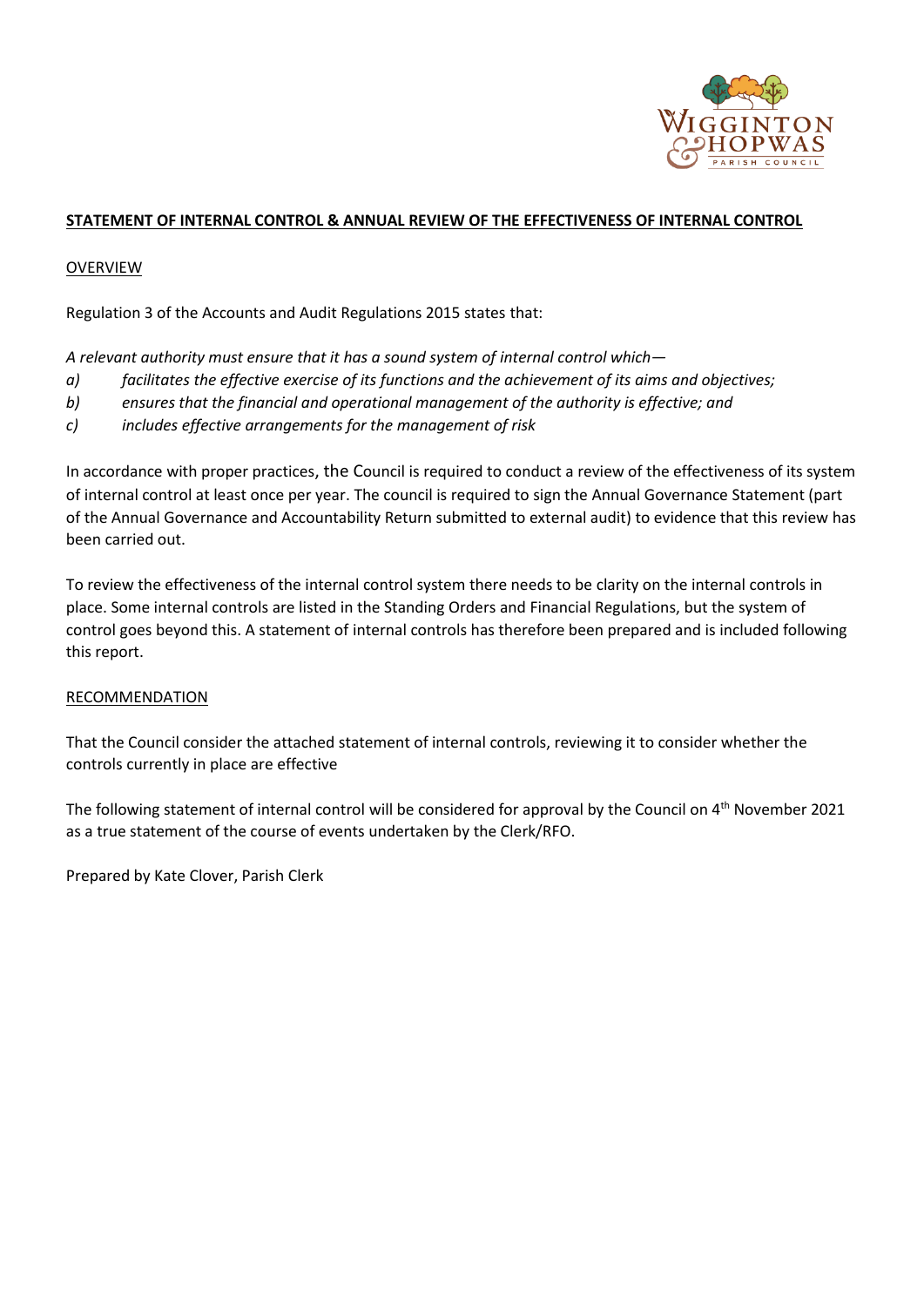

# **STATEMENT OF INTERNAL CONTROL & ANNUAL REVIEW OF THE EFFECTIVENESS OF INTERNAL CONTROL**

### OVERVIEW

Regulation 3 of the Accounts and Audit Regulations 2015 states that:

*A relevant authority must ensure that it has a sound system of internal control which—*

- *a) facilitates the effective exercise of its functions and the achievement of its aims and objectives;*
- *b) ensures that the financial and operational management of the authority is effective; and*
- *c) includes effective arrangements for the management of risk*

In accordance with proper practices, the Council is required to conduct a review of the effectiveness of its system of internal control at least once per year. The council is required to sign the Annual Governance Statement (part of the Annual Governance and Accountability Return submitted to external audit) to evidence that this review has been carried out.

To review the effectiveness of the internal control system there needs to be clarity on the internal controls in place. Some internal controls are listed in the Standing Orders and Financial Regulations, but the system of control goes beyond this. A statement of internal controls has therefore been prepared and is included following this report.

#### RECOMMENDATION

That the Council consider the attached statement of internal controls, reviewing it to consider whether the controls currently in place are effective

The following statement of internal control will be considered for approval by the Council on 4th November 2021 as a true statement of the course of events undertaken by the Clerk/RFO.

Prepared by Kate Clover, Parish Clerk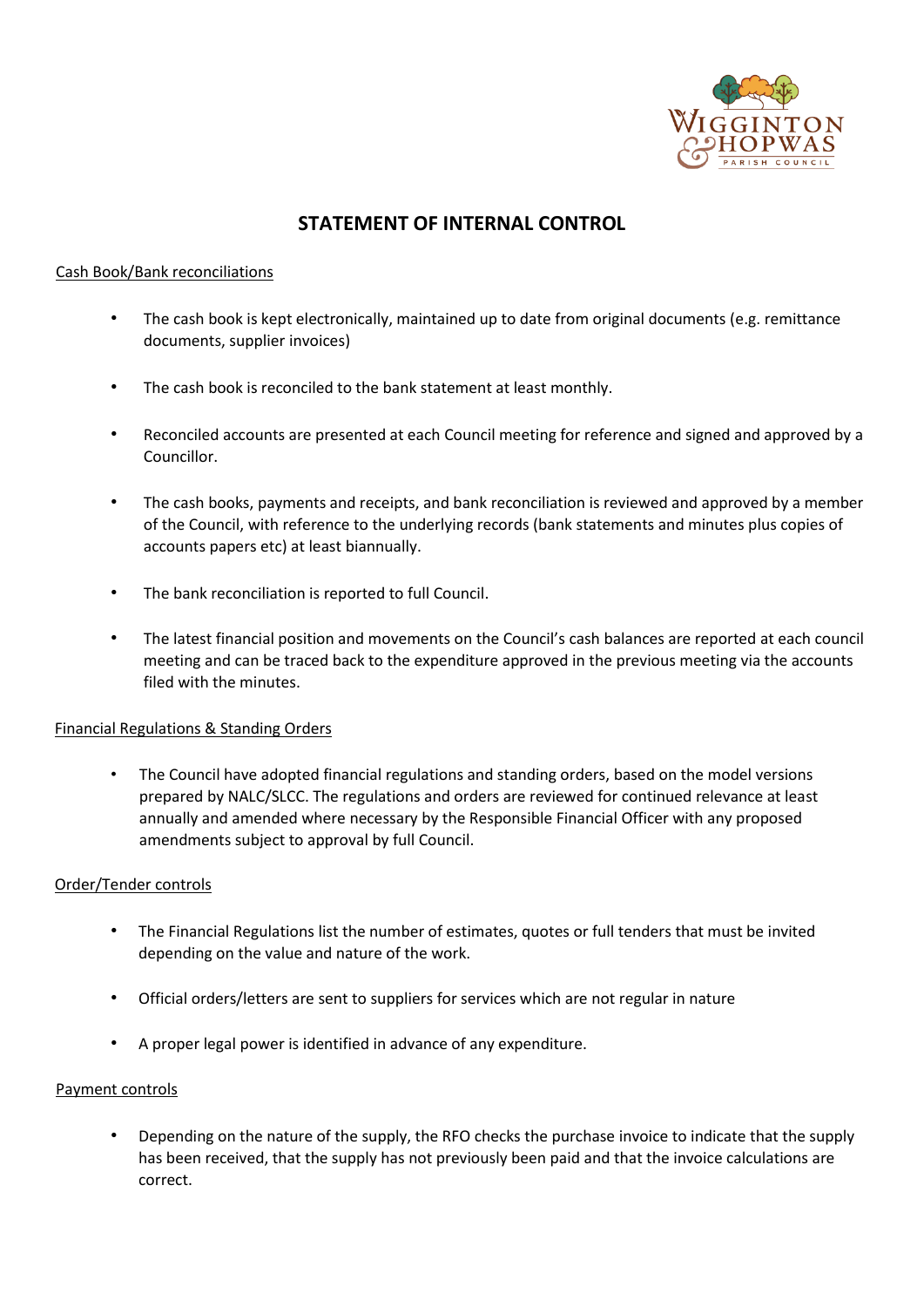

# **STATEMENT OF INTERNAL CONTROL**

# Cash Book/Bank reconciliations

- The cash book is kept electronically, maintained up to date from original documents (e.g. remittance documents, supplier invoices)
- The cash book is reconciled to the bank statement at least monthly.
- Reconciled accounts are presented at each Council meeting for reference and signed and approved by a Councillor.
- The cash books, payments and receipts, and bank reconciliation is reviewed and approved by a member of the Council, with reference to the underlying records (bank statements and minutes plus copies of accounts papers etc) at least biannually.
- The bank reconciliation is reported to full Council.
- The latest financial position and movements on the Council's cash balances are reported at each council meeting and can be traced back to the expenditure approved in the previous meeting via the accounts filed with the minutes.

#### Financial Regulations & Standing Orders

• The Council have adopted financial regulations and standing orders, based on the model versions prepared by NALC/SLCC. The regulations and orders are reviewed for continued relevance at least annually and amended where necessary by the Responsible Financial Officer with any proposed amendments subject to approval by full Council.

#### Order/Tender controls

- The Financial Regulations list the number of estimates, quotes or full tenders that must be invited depending on the value and nature of the work.
- Official orders/letters are sent to suppliers for services which are not regular in nature
- A proper legal power is identified in advance of any expenditure.

#### Payment controls

• Depending on the nature of the supply, the RFO checks the purchase invoice to indicate that the supply has been received, that the supply has not previously been paid and that the invoice calculations are correct.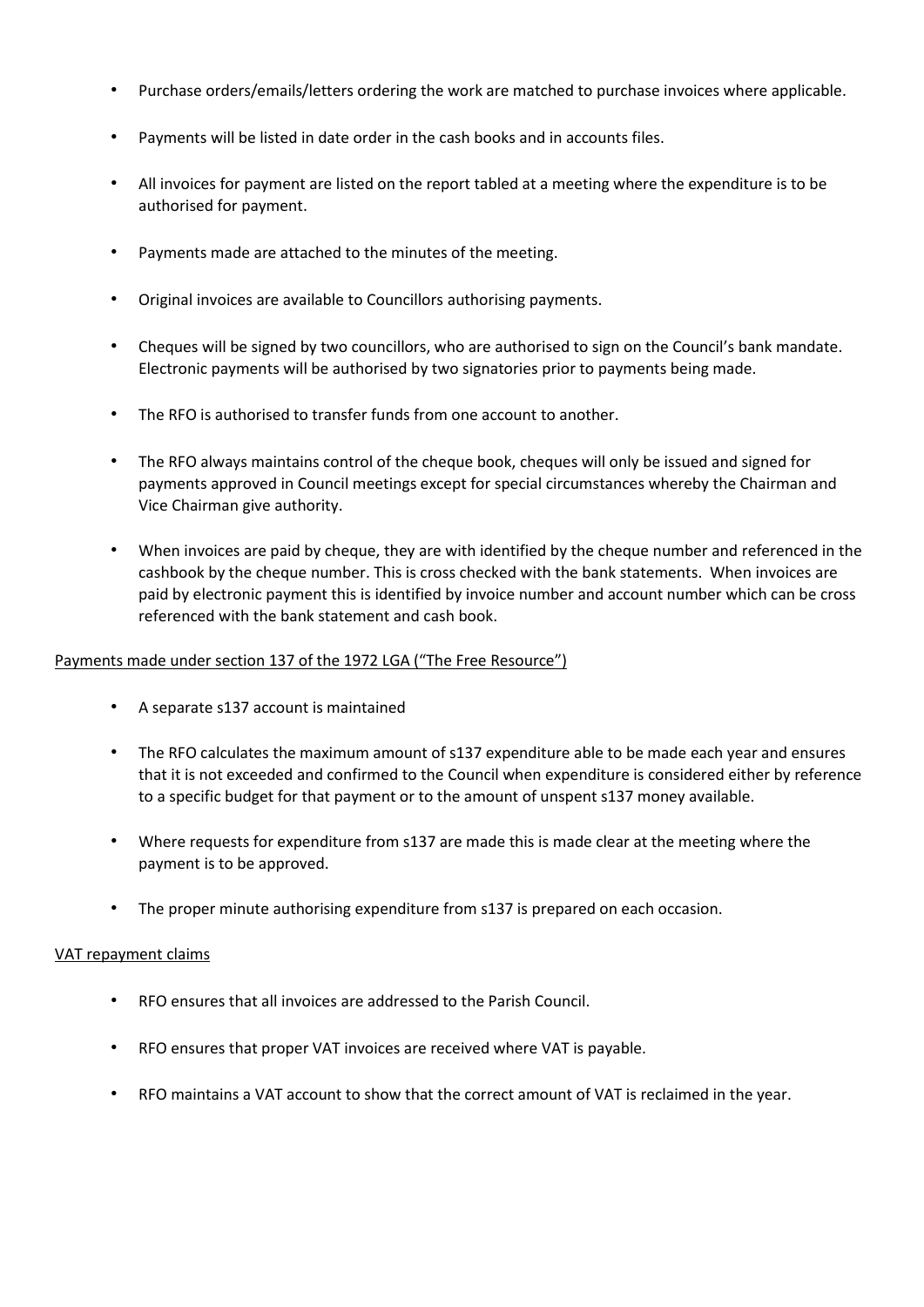- Purchase orders/emails/letters ordering the work are matched to purchase invoices where applicable.
- Payments will be listed in date order in the cash books and in accounts files.
- All invoices for payment are listed on the report tabled at a meeting where the expenditure is to be authorised for payment.
- Payments made are attached to the minutes of the meeting.
- Original invoices are available to Councillors authorising payments.
- Cheques will be signed by two councillors, who are authorised to sign on the Council's bank mandate. Electronic payments will be authorised by two signatories prior to payments being made.
- The RFO is authorised to transfer funds from one account to another.
- The RFO always maintains control of the cheque book, cheques will only be issued and signed for payments approved in Council meetings except for special circumstances whereby the Chairman and Vice Chairman give authority.
- When invoices are paid by cheque, they are with identified by the cheque number and referenced in the cashbook by the cheque number. This is cross checked with the bank statements. When invoices are paid by electronic payment this is identified by invoice number and account number which can be cross referenced with the bank statement and cash book.

#### Payments made under section 137 of the 1972 LGA ("The Free Resource")

- A separate s137 account is maintained
- The RFO calculates the maximum amount of s137 expenditure able to be made each year and ensures that it is not exceeded and confirmed to the Council when expenditure is considered either by reference to a specific budget for that payment or to the amount of unspent s137 money available.
- Where requests for expenditure from s137 are made this is made clear at the meeting where the payment is to be approved.
- The proper minute authorising expenditure from s137 is prepared on each occasion.

#### VAT repayment claims

- RFO ensures that all invoices are addressed to the Parish Council.
- RFO ensures that proper VAT invoices are received where VAT is payable.
- RFO maintains a VAT account to show that the correct amount of VAT is reclaimed in the year.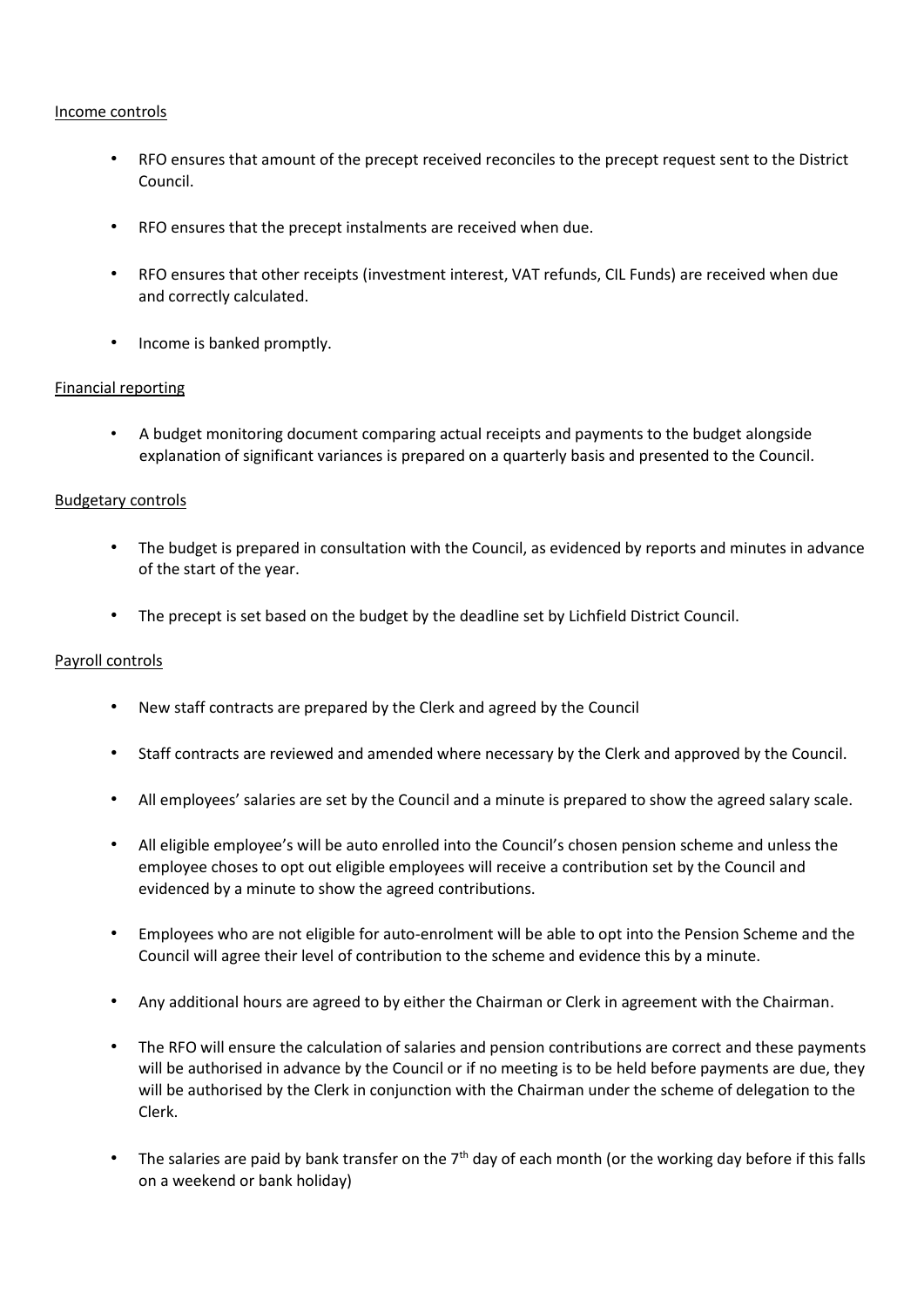#### Income controls

- RFO ensures that amount of the precept received reconciles to the precept request sent to the District Council.
- RFO ensures that the precept instalments are received when due.
- RFO ensures that other receipts (investment interest, VAT refunds, CIL Funds) are received when due and correctly calculated.
- Income is banked promptly.

#### Financial reporting

• A budget monitoring document comparing actual receipts and payments to the budget alongside explanation of significant variances is prepared on a quarterly basis and presented to the Council.

#### Budgetary controls

- The budget is prepared in consultation with the Council, as evidenced by reports and minutes in advance of the start of the year.
- The precept is set based on the budget by the deadline set by Lichfield District Council.

#### Payroll controls

- New staff contracts are prepared by the Clerk and agreed by the Council
- Staff contracts are reviewed and amended where necessary by the Clerk and approved by the Council.
- All employees' salaries are set by the Council and a minute is prepared to show the agreed salary scale.
- All eligible employee's will be auto enrolled into the Council's chosen pension scheme and unless the employee choses to opt out eligible employees will receive a contribution set by the Council and evidenced by a minute to show the agreed contributions.
- Employees who are not eligible for auto-enrolment will be able to opt into the Pension Scheme and the Council will agree their level of contribution to the scheme and evidence this by a minute.
- Any additional hours are agreed to by either the Chairman or Clerk in agreement with the Chairman.
- The RFO will ensure the calculation of salaries and pension contributions are correct and these payments will be authorised in advance by the Council or if no meeting is to be held before payments are due, they will be authorised by the Clerk in conjunction with the Chairman under the scheme of delegation to the Clerk.
- The salaries are paid by bank transfer on the 7<sup>th</sup> day of each month (or the working day before if this falls on a weekend or bank holiday)